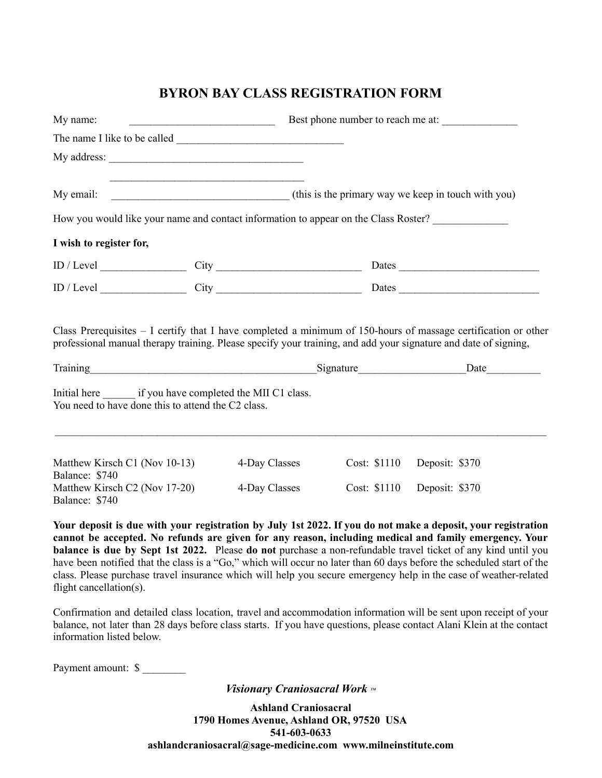## **BYRON BAY CLASS REGISTRATION FORM**

| My name:<br><u> 1989 - Johann Stone, Amerikaansk politiker (</u> |                                                                                                            |                                                                                                                                                                                                                                    | Best phone number to reach me at: |  |
|------------------------------------------------------------------|------------------------------------------------------------------------------------------------------------|------------------------------------------------------------------------------------------------------------------------------------------------------------------------------------------------------------------------------------|-----------------------------------|--|
|                                                                  |                                                                                                            |                                                                                                                                                                                                                                    |                                   |  |
|                                                                  |                                                                                                            |                                                                                                                                                                                                                                    |                                   |  |
|                                                                  |                                                                                                            |                                                                                                                                                                                                                                    |                                   |  |
|                                                                  |                                                                                                            | How you would like your name and contact information to appear on the Class Roster?                                                                                                                                                |                                   |  |
| I wish to register for,                                          |                                                                                                            |                                                                                                                                                                                                                                    |                                   |  |
|                                                                  |                                                                                                            | $ID / Level$ City                                                                                                                                                                                                                  | Dates                             |  |
|                                                                  |                                                                                                            |                                                                                                                                                                                                                                    |                                   |  |
|                                                                  |                                                                                                            | Class Prerequisites $-1$ certify that I have completed a minimum of 150-hours of massage certification or other<br>professional manual therapy training. Please specify your training, and add your signature and date of signing, |                                   |  |
|                                                                  |                                                                                                            | Training Date Date Date                                                                                                                                                                                                            |                                   |  |
|                                                                  | Initial here if you have completed the MII C1 class.<br>You need to have done this to attend the C2 class. |                                                                                                                                                                                                                                    |                                   |  |

| Matthew Kirsch C1 (Nov 10-13)<br>Balance: \$740 | 4-Day Classes | Cost: \$1110 | Deposit: \$370 |
|-------------------------------------------------|---------------|--------------|----------------|
| Matthew Kirsch C2 (Nov 17-20)<br>Balance: \$740 | 4-Day Classes | Cost: \$1110 | Deposit: \$370 |

Your deposit is due with your registration by July 1st 2022. If you do not make a deposit, your registration **cannot be accepted. No refunds are given for any reason, including medical and family emergency. Your balance is due by Sept 1st 2022.** Please **do not** purchase a non-refundable travel ticket of any kind until you have been notified that the class is a "Go," which will occur no later than 60 days before the scheduled start of the class. Please purchase travel insurance which will help you secure emergency help in the case of weather-related flight cancellation(s).

 $\mathcal{L}_\mathcal{L} = \mathcal{L}_\mathcal{L} = \mathcal{L}_\mathcal{L} = \mathcal{L}_\mathcal{L} = \mathcal{L}_\mathcal{L} = \mathcal{L}_\mathcal{L} = \mathcal{L}_\mathcal{L} = \mathcal{L}_\mathcal{L} = \mathcal{L}_\mathcal{L} = \mathcal{L}_\mathcal{L} = \mathcal{L}_\mathcal{L} = \mathcal{L}_\mathcal{L} = \mathcal{L}_\mathcal{L} = \mathcal{L}_\mathcal{L} = \mathcal{L}_\mathcal{L} = \mathcal{L}_\mathcal{L} = \mathcal{L}_\mathcal{L}$ 

Confirmation and detailed class location, travel and accommodation information will be sent upon receipt of your balance, not later than 28 days before class starts. If you have questions, please contact Alani Klein at the contact information listed below.

Payment amount: \$

*Visionary Craniosacral Work*  $\mathbb{F}$ 

**Ashland Craniosacral 1790 Homes Avenue, Ashland OR, 97520 USA 541-603-0633 ashlandcraniosacral@sage-medicine.com www.milneinstitute.com**